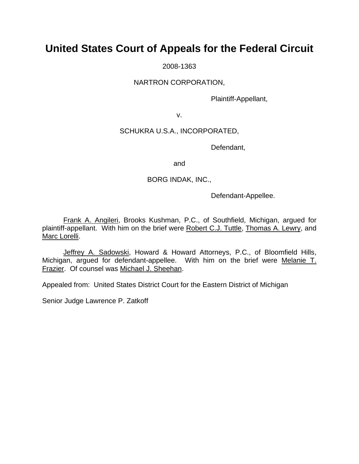# **United States Court of Appeals for the Federal Circuit**

2008-1363

NARTRON CORPORATION,

Plaintiff-Appellant,

v.

## SCHUKRA U.S.A., INCORPORATED,

Defendant,

and

## BORG INDAK, INC.,

Defendant-Appellee.

 Frank A. Angileri, Brooks Kushman, P.C., of Southfield, Michigan, argued for plaintiff-appellant. With him on the brief were Robert C.J. Tuttle, Thomas A. Lewry, and Marc Lorelli.

 Jeffrey A. Sadowski, Howard & Howard Attorneys, P.C., of Bloomfield Hills, Michigan, argued for defendant-appellee. With him on the brief were Melanie T. Frazier. Of counsel was Michael J. Sheehan.

Appealed from: United States District Court for the Eastern District of Michigan

Senior Judge Lawrence P. Zatkoff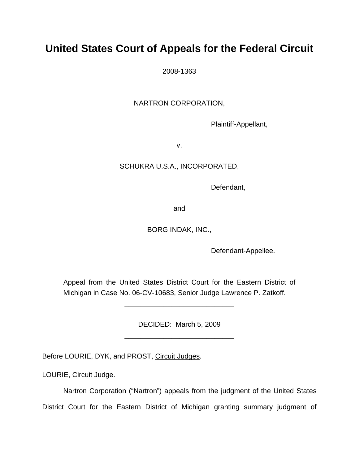# **United States Court of Appeals for the Federal Circuit**

2008-1363

NARTRON CORPORATION,

Plaintiff-Appellant,

v.

# SCHUKRA U.S.A., INCORPORATED,

Defendant,

and

BORG INDAK, INC.,

Defendant-Appellee.

Appeal from the United States District Court for the Eastern District of Michigan in Case No. 06-CV-10683, Senior Judge Lawrence P. Zatkoff.

\_\_\_\_\_\_\_\_\_\_\_\_\_\_\_\_\_\_\_\_\_\_\_\_\_\_\_\_

DECIDED: March 5, 2009 \_\_\_\_\_\_\_\_\_\_\_\_\_\_\_\_\_\_\_\_\_\_\_\_\_\_\_\_

Before LOURIE, DYK, and PROST, Circuit Judges.

LOURIE, Circuit Judge.

Nartron Corporation ("Nartron") appeals from the judgment of the United States District Court for the Eastern District of Michigan granting summary judgment of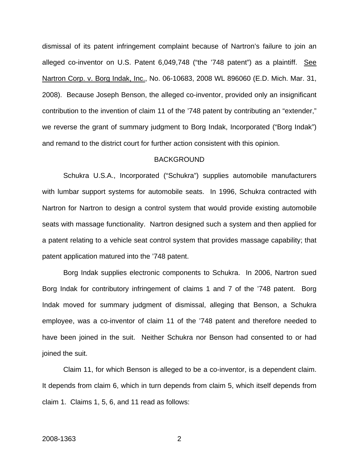dismissal of its patent infringement complaint because of Nartron's failure to join an alleged co-inventor on U.S. Patent 6,049,748 ("the '748 patent") as a plaintiff. See Nartron Corp. v. Borg Indak, Inc., No. 06-10683, 2008 WL 896060 (E.D. Mich. Mar. 31, 2008). Because Joseph Benson, the alleged co-inventor, provided only an insignificant contribution to the invention of claim 11 of the '748 patent by contributing an "extender," we reverse the grant of summary judgment to Borg Indak, Incorporated ("Borg Indak") and remand to the district court for further action consistent with this opinion.

### **BACKGROUND**

Schukra U.S.A., Incorporated ("Schukra") supplies automobile manufacturers with lumbar support systems for automobile seats. In 1996, Schukra contracted with Nartron for Nartron to design a control system that would provide existing automobile seats with massage functionality. Nartron designed such a system and then applied for a patent relating to a vehicle seat control system that provides massage capability; that patent application matured into the '748 patent.

Borg Indak supplies electronic components to Schukra. In 2006, Nartron sued Borg Indak for contributory infringement of claims 1 and 7 of the '748 patent. Borg Indak moved for summary judgment of dismissal, alleging that Benson, a Schukra employee, was a co-inventor of claim 11 of the '748 patent and therefore needed to have been joined in the suit. Neither Schukra nor Benson had consented to or had joined the suit.

Claim 11, for which Benson is alleged to be a co-inventor, is a dependent claim. It depends from claim 6, which in turn depends from claim 5, which itself depends from claim 1. Claims 1, 5, 6, and 11 read as follows: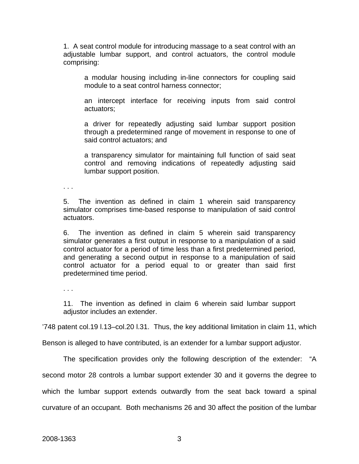1. A seat control module for introducing massage to a seat control with an adjustable lumbar support, and control actuators, the control module comprising:

a modular housing including in-line connectors for coupling said module to a seat control harness connector;

an intercept interface for receiving inputs from said control actuators;

a driver for repeatedly adjusting said lumbar support position through a predetermined range of movement in response to one of said control actuators; and

a transparency simulator for maintaining full function of said seat control and removing indications of repeatedly adjusting said lumbar support position.

. . .

5. The invention as defined in claim 1 wherein said transparency simulator comprises time-based response to manipulation of said control actuators.

6. The invention as defined in claim 5 wherein said transparency simulator generates a first output in response to a manipulation of a said control actuator for a period of time less than a first predetermined period, and generating a second output in response to a manipulation of said control actuator for a period equal to or greater than said first predetermined time period.

. . .

11. The invention as defined in claim 6 wherein said lumbar support adjustor includes an extender.

'748 patent col.19 l.13–col.20 l.31. Thus, the key additional limitation in claim 11, which

Benson is alleged to have contributed, is an extender for a lumbar support adjustor.

The specification provides only the following description of the extender: "A

second motor 28 controls a lumbar support extender 30 and it governs the degree to

which the lumbar support extends outwardly from the seat back toward a spinal

curvature of an occupant. Both mechanisms 26 and 30 affect the position of the lumbar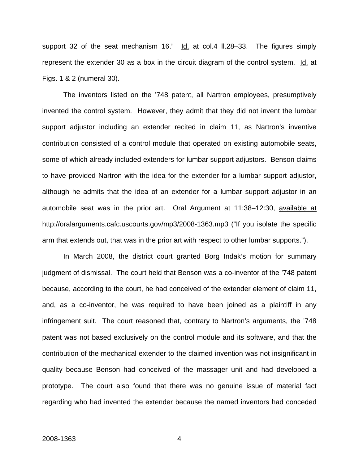support 32 of the seat mechanism 16." Id. at col.4 II.28–33. The figures simply represent the extender 30 as a box in the circuit diagram of the control system. Id. at Figs. 1 & 2 (numeral 30).

The inventors listed on the '748 patent, all Nartron employees, presumptively invented the control system. However, they admit that they did not invent the lumbar support adjustor including an extender recited in claim 11, as Nartron's inventive contribution consisted of a control module that operated on existing automobile seats, some of which already included extenders for lumbar support adjustors. Benson claims to have provided Nartron with the idea for the extender for a lumbar support adjustor, although he admits that the idea of an extender for a lumbar support adjustor in an automobile seat was in the prior art. Oral Argument at 11:38–12:30, available at http://oralarguments.cafc.uscourts.gov/mp3/2008-1363.mp3 ("If you isolate the specific arm that extends out, that was in the prior art with respect to other lumbar supports.").

In March 2008, the district court granted Borg Indak's motion for summary judgment of dismissal. The court held that Benson was a co-inventor of the '748 patent because, according to the court, he had conceived of the extender element of claim 11, and, as a co-inventor, he was required to have been joined as a plaintiff in any infringement suit. The court reasoned that, contrary to Nartron's arguments, the '748 patent was not based exclusively on the control module and its software, and that the contribution of the mechanical extender to the claimed invention was not insignificant in quality because Benson had conceived of the massager unit and had developed a prototype. The court also found that there was no genuine issue of material fact regarding who had invented the extender because the named inventors had conceded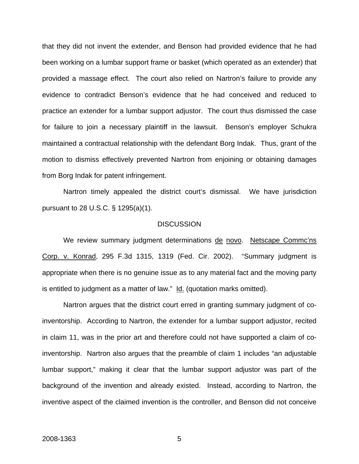that they did not invent the extender, and Benson had provided evidence that he had been working on a lumbar support frame or basket (which operated as an extender) that provided a massage effect. The court also relied on Nartron's failure to provide any evidence to contradict Benson's evidence that he had conceived and reduced to practice an extender for a lumbar support adjustor. The court thus dismissed the case for failure to join a necessary plaintiff in the lawsuit. Benson's employer Schukra maintained a contractual relationship with the defendant Borg Indak. Thus, grant of the motion to dismiss effectively prevented Nartron from enjoining or obtaining damages from Borg Indak for patent infringement.

Nartron timely appealed the district court's dismissal. We have jurisdiction pursuant to 28 U.S.C. § 1295(a)(1).

#### **DISCUSSION**

We review summary judgment determinations de novo. Netscape Commc'ns Corp. v. Konrad, 295 F.3d 1315, 1319 (Fed. Cir. 2002). "Summary judgment is appropriate when there is no genuine issue as to any material fact and the moving party is entitled to judgment as a matter of law."  $Id.$  (quotation marks omitted).

Nartron argues that the district court erred in granting summary judgment of coinventorship. According to Nartron, the extender for a lumbar support adjustor, recited in claim 11, was in the prior art and therefore could not have supported a claim of coinventorship. Nartron also argues that the preamble of claim 1 includes "an adjustable lumbar support," making it clear that the lumbar support adjustor was part of the background of the invention and already existed. Instead, according to Nartron, the inventive aspect of the claimed invention is the controller, and Benson did not conceive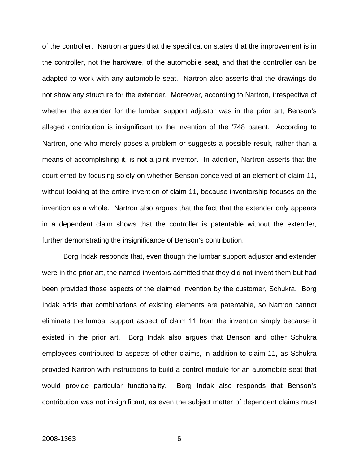of the controller. Nartron argues that the specification states that the improvement is in the controller, not the hardware, of the automobile seat, and that the controller can be adapted to work with any automobile seat. Nartron also asserts that the drawings do not show any structure for the extender. Moreover, according to Nartron, irrespective of whether the extender for the lumbar support adjustor was in the prior art, Benson's alleged contribution is insignificant to the invention of the '748 patent. According to Nartron, one who merely poses a problem or suggests a possible result, rather than a means of accomplishing it, is not a joint inventor. In addition, Nartron asserts that the court erred by focusing solely on whether Benson conceived of an element of claim 11, without looking at the entire invention of claim 11, because inventorship focuses on the invention as a whole. Nartron also argues that the fact that the extender only appears in a dependent claim shows that the controller is patentable without the extender, further demonstrating the insignificance of Benson's contribution.

Borg Indak responds that, even though the lumbar support adjustor and extender were in the prior art, the named inventors admitted that they did not invent them but had been provided those aspects of the claimed invention by the customer, Schukra. Borg Indak adds that combinations of existing elements are patentable, so Nartron cannot eliminate the lumbar support aspect of claim 11 from the invention simply because it existed in the prior art. Borg Indak also argues that Benson and other Schukra employees contributed to aspects of other claims, in addition to claim 11, as Schukra provided Nartron with instructions to build a control module for an automobile seat that would provide particular functionality. Borg Indak also responds that Benson's contribution was not insignificant, as even the subject matter of dependent claims must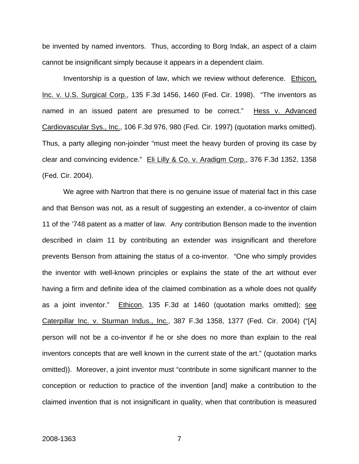be invented by named inventors. Thus, according to Borg Indak, an aspect of a claim cannot be insignificant simply because it appears in a dependent claim.

Inventorship is a question of law, which we review without deference. Ethicon, Inc. v. U.S. Surgical Corp., 135 F.3d 1456, 1460 (Fed. Cir. 1998). "The inventors as named in an issued patent are presumed to be correct." Hess v. Advanced Cardiovascular Sys., Inc., 106 F.3d 976, 980 (Fed. Cir. 1997) (quotation marks omitted). Thus, a party alleging non-joinder "must meet the heavy burden of proving its case by clear and convincing evidence." Eli Lilly & Co. v. Aradigm Corp., 376 F.3d 1352, 1358 (Fed. Cir. 2004).

We agree with Nartron that there is no genuine issue of material fact in this case and that Benson was not, as a result of suggesting an extender, a co-inventor of claim 11 of the '748 patent as a matter of law. Any contribution Benson made to the invention described in claim 11 by contributing an extender was insignificant and therefore prevents Benson from attaining the status of a co-inventor. "One who simply provides the inventor with well-known principles or explains the state of the art without ever having a firm and definite idea of the claimed combination as a whole does not qualify as a joint inventor." Ethicon, 135 F.3d at 1460 (quotation marks omitted); see Caterpillar Inc. v. Sturman Indus., Inc., 387 F.3d 1358, 1377 (Fed. Cir. 2004) ("[A] person will not be a co-inventor if he or she does no more than explain to the real inventors concepts that are well known in the current state of the art." (quotation marks omitted)). Moreover, a joint inventor must "contribute in some significant manner to the conception or reduction to practice of the invention [and] make a contribution to the claimed invention that is not insignificant in quality, when that contribution is measured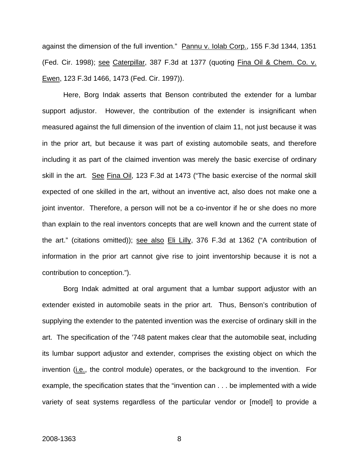against the dimension of the full invention." Pannu v. Iolab Corp., 155 F.3d 1344, 1351 (Fed. Cir. 1998); see Caterpillar, 387 F.3d at 1377 (quoting Fina Oil & Chem. Co. v. Ewen, 123 F.3d 1466, 1473 (Fed. Cir. 1997)).

Here, Borg Indak asserts that Benson contributed the extender for a lumbar support adjustor. However, the contribution of the extender is insignificant when measured against the full dimension of the invention of claim 11, not just because it was in the prior art, but because it was part of existing automobile seats, and therefore including it as part of the claimed invention was merely the basic exercise of ordinary skill in the art. See Fina Oil, 123 F.3d at 1473 ("The basic exercise of the normal skill expected of one skilled in the art, without an inventive act, also does not make one a joint inventor. Therefore, a person will not be a co-inventor if he or she does no more than explain to the real inventors concepts that are well known and the current state of the art." (citations omitted)); see also Eli Lilly, 376 F.3d at 1362 ("A contribution of information in the prior art cannot give rise to joint inventorship because it is not a contribution to conception.").

Borg Indak admitted at oral argument that a lumbar support adjustor with an extender existed in automobile seats in the prior art. Thus, Benson's contribution of supplying the extender to the patented invention was the exercise of ordinary skill in the art. The specification of the '748 patent makes clear that the automobile seat, including its lumbar support adjustor and extender, comprises the existing object on which the invention (*i.e.*, the control module) operates, or the background to the invention. For example, the specification states that the "invention can . . . be implemented with a wide variety of seat systems regardless of the particular vendor or [model] to provide a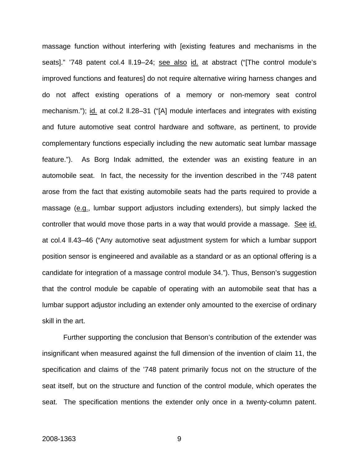massage function without interfering with [existing features and mechanisms in the seats]." '748 patent col.4 ll.19–24; see also id. at abstract ("[The control module's improved functions and features] do not require alternative wiring harness changes and do not affect existing operations of a memory or non-memory seat control mechanism."); id. at col.2 ll.28–31 ("[A] module interfaces and integrates with existing and future automotive seat control hardware and software, as pertinent, to provide complementary functions especially including the new automatic seat lumbar massage feature."). As Borg Indak admitted, the extender was an existing feature in an automobile seat. In fact, the necessity for the invention described in the '748 patent arose from the fact that existing automobile seats had the parts required to provide a massage (e.g., lumbar support adjustors including extenders), but simply lacked the controller that would move those parts in a way that would provide a massage. See id. at col.4 ll.43–46 ("Any automotive seat adjustment system for which a lumbar support position sensor is engineered and available as a standard or as an optional offering is a candidate for integration of a massage control module 34."). Thus, Benson's suggestion that the control module be capable of operating with an automobile seat that has a lumbar support adjustor including an extender only amounted to the exercise of ordinary skill in the art.

Further supporting the conclusion that Benson's contribution of the extender was insignificant when measured against the full dimension of the invention of claim 11, the specification and claims of the '748 patent primarily focus not on the structure of the seat itself, but on the structure and function of the control module, which operates the seat. The specification mentions the extender only once in a twenty-column patent.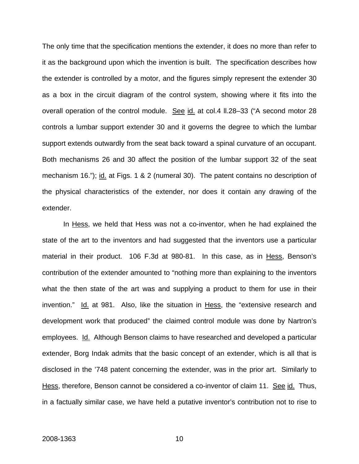The only time that the specification mentions the extender, it does no more than refer to it as the background upon which the invention is built. The specification describes how the extender is controlled by a motor, and the figures simply represent the extender 30 as a box in the circuit diagram of the control system, showing where it fits into the overall operation of the control module. See id. at col.4 ll.28–33 ("A second motor 28 controls a lumbar support extender 30 and it governs the degree to which the lumbar support extends outwardly from the seat back toward a spinal curvature of an occupant. Both mechanisms 26 and 30 affect the position of the lumbar support 32 of the seat mechanism 16."); id. at Figs. 1 & 2 (numeral 30). The patent contains no description of the physical characteristics of the extender, nor does it contain any drawing of the extender.

In Hess, we held that Hess was not a co-inventor, when he had explained the state of the art to the inventors and had suggested that the inventors use a particular material in their product. 106 F.3d at 980-81. In this case, as in Hess, Benson's contribution of the extender amounted to "nothing more than explaining to the inventors what the then state of the art was and supplying a product to them for use in their invention." Id. at 981. Also, like the situation in Hess, the "extensive research and development work that produced" the claimed control module was done by Nartron's employees. Id. Although Benson claims to have researched and developed a particular extender, Borg Indak admits that the basic concept of an extender, which is all that is disclosed in the '748 patent concerning the extender, was in the prior art. Similarly to Hess, therefore, Benson cannot be considered a co-inventor of claim 11. See id. Thus, in a factually similar case, we have held a putative inventor's contribution not to rise to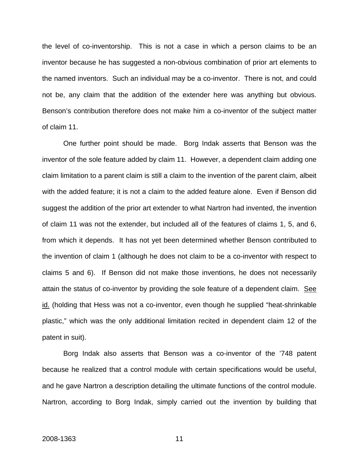the level of co-inventorship. This is not a case in which a person claims to be an inventor because he has suggested a non-obvious combination of prior art elements to the named inventors. Such an individual may be a co-inventor. There is not, and could not be, any claim that the addition of the extender here was anything but obvious. Benson's contribution therefore does not make him a co-inventor of the subject matter of claim 11.

One further point should be made. Borg Indak asserts that Benson was the inventor of the sole feature added by claim 11. However, a dependent claim adding one claim limitation to a parent claim is still a claim to the invention of the parent claim, albeit with the added feature; it is not a claim to the added feature alone. Even if Benson did suggest the addition of the prior art extender to what Nartron had invented, the invention of claim 11 was not the extender, but included all of the features of claims 1, 5, and 6, from which it depends. It has not yet been determined whether Benson contributed to the invention of claim 1 (although he does not claim to be a co-inventor with respect to claims 5 and 6). If Benson did not make those inventions, he does not necessarily attain the status of co-inventor by providing the sole feature of a dependent claim. See id. (holding that Hess was not a co-inventor, even though he supplied "heat-shrinkable plastic," which was the only additional limitation recited in dependent claim 12 of the patent in suit).

Borg Indak also asserts that Benson was a co-inventor of the '748 patent because he realized that a control module with certain specifications would be useful, and he gave Nartron a description detailing the ultimate functions of the control module. Nartron, according to Borg Indak, simply carried out the invention by building that